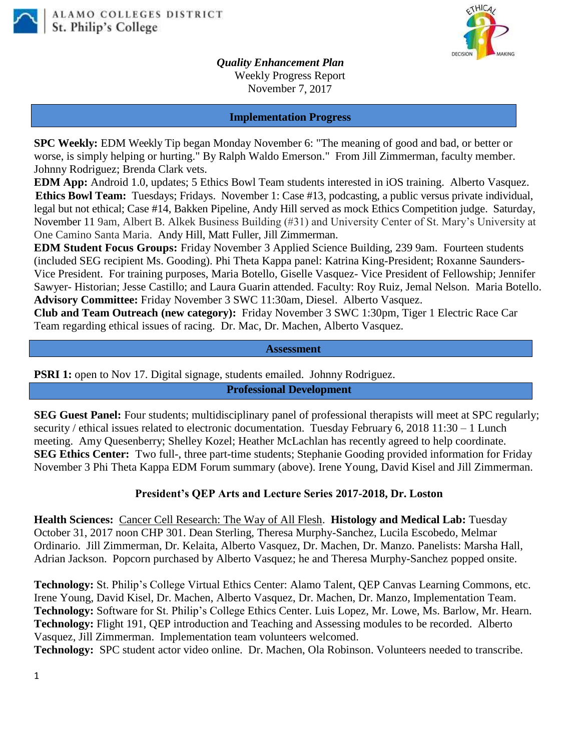



*Quality Enhancement Plan* Weekly Progress Report November 7, 2017

#### **Implementation Progress**

**SPC Weekly:** EDM Weekly Tip began Monday November 6: "The meaning of good and bad, or better or worse, is simply helping or hurting." By Ralph Waldo Emerson." From Jill Zimmerman, faculty member. Johnny Rodriguez; Brenda Clark vets.

**EDM App:** Android 1.0, updates; 5 Ethics Bowl Team students interested in iOS training. Alberto Vasquez. **Ethics Bowl Team:** Tuesdays; Fridays. November 1: Case #13, podcasting, a public versus private individual, legal but not ethical; Case #14, Bakken Pipeline, Andy Hill served as mock Ethics Competition judge. Saturday, November 11 9am, Albert B. Alkek Business Building (#31) and University Center of St. Mary's University at One Camino Santa Maria. Andy Hill, Matt Fuller, Jill Zimmerman.

**EDM Student Focus Groups:** Friday November 3 Applied Science Building, 239 9am. Fourteen students (included SEG recipient Ms. Gooding). Phi Theta Kappa panel: Katrina King-President; Roxanne Saunders-Vice President. For training purposes, Maria Botello, Giselle Vasquez- Vice President of Fellowship; Jennifer Sawyer- Historian; Jesse Castillo; and Laura Guarin attended. Faculty: Roy Ruiz, Jemal Nelson. Maria Botello. **Advisory Committee:** Friday November 3 SWC 11:30am, Diesel. Alberto Vasquez.

**Club and Team Outreach (new category):** Friday November 3 SWC 1:30pm, Tiger 1 Electric Race Car Team regarding ethical issues of racing. Dr. Mac, Dr. Machen, Alberto Vasquez.

#### **Assessment**

**PSRI 1:** open to Nov 17. Digital signage, students emailed. Johnny Rodriguez.

**Professional Development**

**SEG Guest Panel:** Four students; multidisciplinary panel of professional therapists will meet at SPC regularly; security / ethical issues related to electronic documentation. Tuesday February 6, 2018 11:30 – 1 Lunch meeting. Amy Quesenberry; Shelley Kozel; Heather McLachlan has recently agreed to help coordinate. **SEG Ethics Center:** Two full-, three part-time students; Stephanie Gooding provided information for Friday November 3 Phi Theta Kappa EDM Forum summary (above). Irene Young, David Kisel and Jill Zimmerman.

## **President's QEP Arts and Lecture Series 2017-2018, Dr. Loston**

**Health Sciences:** Cancer Cell Research: The Way of All Flesh. **Histology and Medical Lab:** Tuesday October 31, 2017 noon CHP 301. Dean Sterling, Theresa Murphy-Sanchez, Lucila Escobedo, Melmar Ordinario. Jill Zimmerman, Dr. Kelaita, Alberto Vasquez, Dr. Machen, Dr. Manzo. Panelists: Marsha Hall, Adrian Jackson. Popcorn purchased by Alberto Vasquez; he and Theresa Murphy-Sanchez popped onsite.

**Technology:** St. Philip's College Virtual Ethics Center: Alamo Talent, QEP Canvas Learning Commons, etc. Irene Young, David Kisel, Dr. Machen, Alberto Vasquez, Dr. Machen, Dr. Manzo, Implementation Team. **Technology:** Software for St. Philip's College Ethics Center. Luis Lopez, Mr. Lowe, Ms. Barlow, Mr. Hearn. **Technology:** Flight 191, QEP introduction and Teaching and Assessing modules to be recorded. Alberto Vasquez, Jill Zimmerman. Implementation team volunteers welcomed.

**Technology:** SPC student actor video online. Dr. Machen, Ola Robinson. Volunteers needed to transcribe.